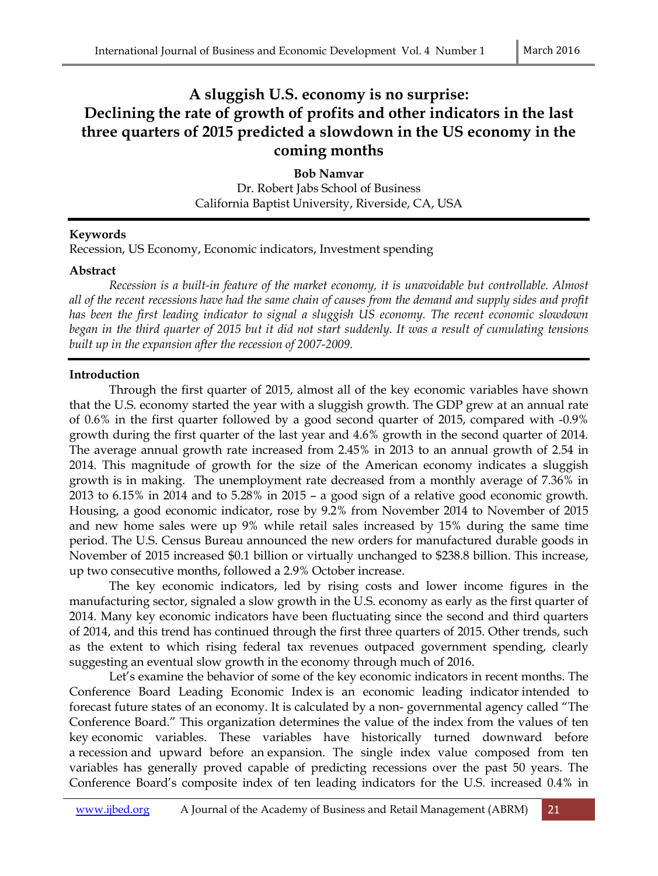# **A sluggish U.S. economy is no surprise: Declining the rate of growth of profits and other indicators in the last three quarters of 2015 predicted a slowdown in the US economy in the coming months**

**Bob Namvar**  Dr. Robert Jabs School of Business California Baptist University, Riverside, CA, USA

## **Keywords**

Recession, US Economy, Economic indicators, Investment spending

## **Abstract**

 *Recession is a built-in feature of the market economy, it is unavoidable but controllable. Almost all of the recent recessions have had the same chain of causes from the demand and supply sides and profit has been the first leading indicator to signal a sluggish US economy. The recent economic slowdown began in the third quarter of 2015 but it did not start suddenly. It was a result of cumulating tensions built up in the expansion after the recession of 2007-2009.* 

## **Introduction**

Through the first quarter of 2015, almost all of the key economic variables have shown that the U.S. economy started the year with a sluggish growth. The GDP grew at an annual rate of 0.6% in the first quarter followed by a good second quarter of 2015, compared with -0.9% growth during the first quarter of the last year and 4.6% growth in the second quarter of 2014. The average annual growth rate increased from 2.45% in 2013 to an annual growth of 2.54 in 2014. This magnitude of growth for the size of the American economy indicates a sluggish growth is in making. The unemployment rate decreased from a monthly average of 7.36% in 2013 to 6.15% in 2014 and to 5.28% in 2015 – a good sign of a relative good economic growth. Housing, a good economic indicator, rose by 9.2% from November 2014 to November of 2015 and new home sales were up 9% while retail sales increased by 15% during the same time period. The U.S. Census Bureau announced the new orders for manufactured durable goods in November of 2015 increased \$0.1 billion or virtually unchanged to \$238.8 billion. This increase, up two consecutive months, followed a 2.9% October increase.

The key economic indicators, led by rising costs and lower income figures in the manufacturing sector, signaled a slow growth in the U.S. economy as early as the first quarter of 2014. Many key economic indicators have been fluctuating since the second and third quarters of 2014, and this trend has continued through the first three quarters of 2015. Other trends, such as the extent to which rising federal tax revenues outpaced government spending, clearly suggesting an eventual slow growth in the economy through much of 2016.

Let's examine the behavior of some of the key economic indicators in recent months. The Conference Board Leading Economic Index is an economic leading indicator intended to forecast future states of an economy. It is calculated by a non- governmental agency called "The Conference Board." This organization determines the value of the index from the values of ten key economic variables. These variables have historically turned downward before a recession and upward before an expansion. The single index value composed from ten variables has generally proved capable of predicting recessions over the past 50 years. The Conference Board's composite index of ten leading indicators for the U.S. increased 0.4% in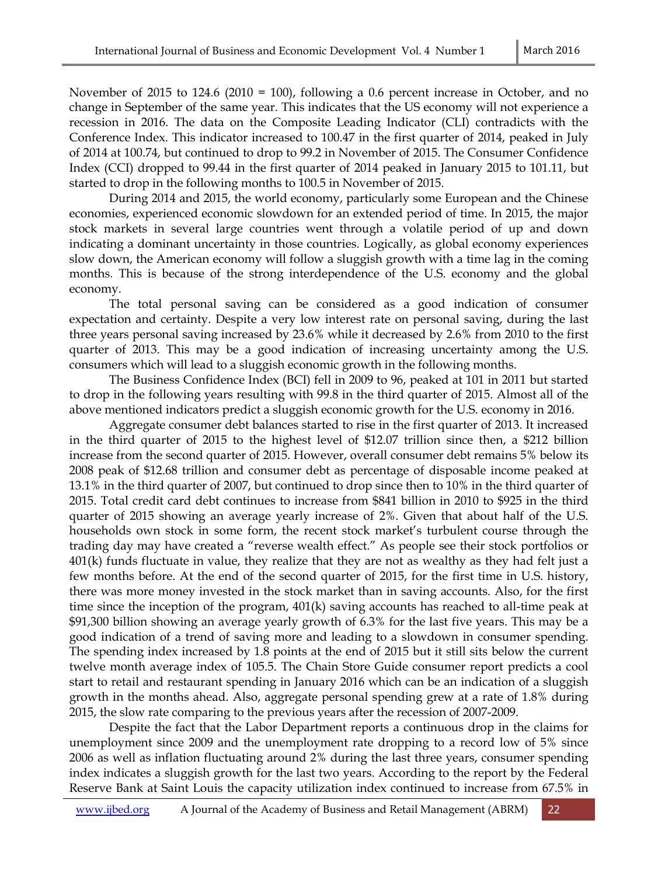November of 2015 to 124.6 (2010 = 100), following a 0.6 percent increase in October, and no change in September of the same year. This indicates that the US economy will not experience a recession in 2016. The data on the Composite Leading Indicator (CLI) contradicts with the Conference Index. This indicator increased to 100.47 in the first quarter of 2014, peaked in July of 2014 at 100.74, but continued to drop to 99.2 in November of 2015. The Consumer Confidence Index (CCI) dropped to 99.44 in the first quarter of 2014 peaked in January 2015 to 101.11, but started to drop in the following months to 100.5 in November of 2015.

During 2014 and 2015, the world economy, particularly some European and the Chinese economies, experienced economic slowdown for an extended period of time. In 2015, the major stock markets in several large countries went through a volatile period of up and down indicating a dominant uncertainty in those countries. Logically, as global economy experiences slow down, the American economy will follow a sluggish growth with a time lag in the coming months. This is because of the strong interdependence of the U.S. economy and the global economy.

The total personal saving can be considered as a good indication of consumer expectation and certainty. Despite a very low interest rate on personal saving, during the last three years personal saving increased by 23.6% while it decreased by 2.6% from 2010 to the first quarter of 2013. This may be a good indication of increasing uncertainty among the U.S. consumers which will lead to a sluggish economic growth in the following months.

The Business Confidence Index (BCI) fell in 2009 to 96, peaked at 101 in 2011 but started to drop in the following years resulting with 99.8 in the third quarter of 2015. Almost all of the above mentioned indicators predict a sluggish economic growth for the U.S. economy in 2016.

Aggregate consumer debt balances started to rise in the first quarter of 2013. It increased in the third quarter of 2015 to the highest level of \$12.07 trillion since then, a \$212 billion increase from the second quarter of 2015. However, overall consumer debt remains 5% below its 2008 peak of \$12.68 trillion and consumer debt as percentage of disposable income peaked at 13.1% in the third quarter of 2007, but continued to drop since then to 10% in the third quarter of 2015. Total credit card debt continues to increase from \$841 billion in 2010 to \$925 in the third quarter of 2015 showing an average yearly increase of 2%. Given that about half of the U.S. households own stock in some form, the recent stock market's turbulent course through the trading day may have created a "reverse wealth effect." As people see their stock portfolios or 401(k) funds fluctuate in value, they realize that they are not as wealthy as they had felt just a few months before. At the end of the second quarter of 2015, for the first time in U.S. history, there was more money invested in the stock market than in saving accounts. Also, for the first time since the inception of the program, 401(k) saving accounts has reached to all-time peak at \$91,300 billion showing an average yearly growth of 6.3% for the last five years. This may be a good indication of a trend of saving more and leading to a slowdown in consumer spending. The spending index increased by 1.8 points at the end of 2015 but it still sits below the current twelve month average index of 105.5. The Chain Store Guide consumer report predicts a cool start to retail and restaurant spending in January 2016 which can be an indication of a sluggish growth in the months ahead. Also, aggregate personal spending grew at a rate of 1.8% during 2015, the slow rate comparing to the previous years after the recession of 2007-2009.

Despite the fact that the Labor Department reports a continuous drop in the claims for unemployment since 2009 and the unemployment rate dropping to a record low of 5% since 2006 as well as inflation fluctuating around 2% during the last three years, consumer spending index indicates a sluggish growth for the last two years. According to the report by the Federal Reserve Bank at Saint Louis the capacity utilization index continued to increase from 67.5% in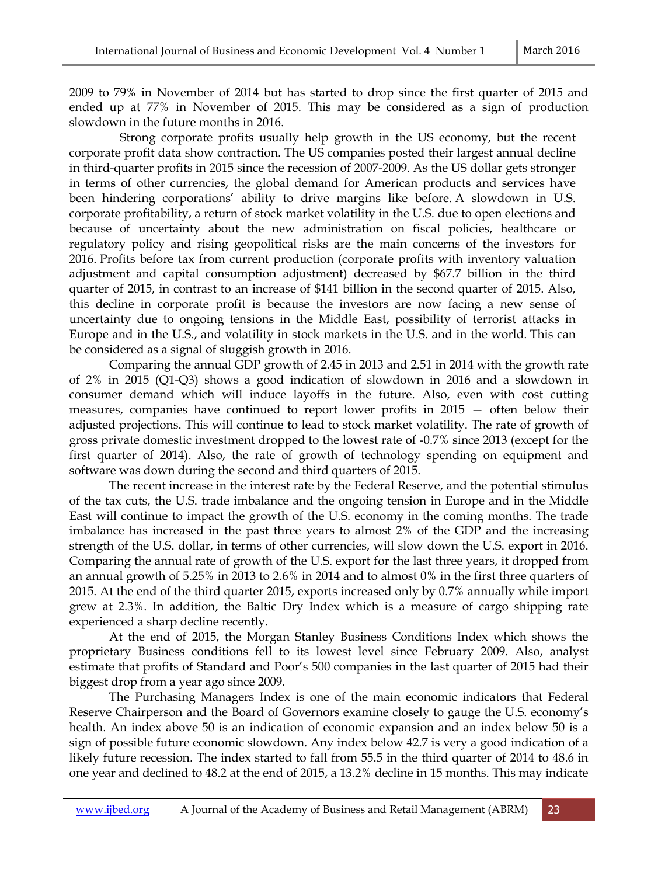2009 to 79% in November of 2014 but has started to drop since the first quarter of 2015 and ended up at 77% in November of 2015. This may be considered as a sign of production slowdown in the future months in 2016.

 Strong corporate profits usually help growth in the US economy, but the recent corporate profit data show contraction. The US companies posted their largest annual decline in third-quarter profits in 2015 since the recession of 2007-2009. As the US dollar gets stronger in terms of other currencies, the global demand for American products and services have been hindering corporations' ability to drive margins like before. A slowdown in U.S. corporate profitability, a return of stock market volatility in the U.S. due to open elections and because of uncertainty about the new administration on fiscal policies, healthcare or regulatory policy and rising geopolitical risks are the main concerns of the investors for 2016. Profits before tax from current production (corporate profits with inventory valuation adjustment and capital consumption adjustment) decreased by \$67.7 billion in the third quarter of 2015, in contrast to an increase of \$141 billion in the second quarter of 2015. Also, this decline in corporate profit is because the investors are now facing a new sense of uncertainty due to ongoing tensions in the Middle East, possibility of terrorist attacks in Europe and in the U.S., and volatility in stock markets in the U.S. and in the world. This can be considered as a signal of sluggish growth in 2016.

Comparing the annual GDP growth of 2.45 in 2013 and 2.51 in 2014 with the growth rate of 2% in 2015 (Q1-Q3) shows a good indication of slowdown in 2016 and a slowdown in consumer demand which will induce layoffs in the future. Also, even with cost cutting measures, companies have continued to report lower profits in 2015 — often below their adjusted projections. This will continue to lead to stock market volatility. The rate of growth of gross private domestic investment dropped to the lowest rate of -0.7% since 2013 (except for the first quarter of 2014). Also, the rate of growth of technology spending on equipment and software was down during the second and third quarters of 2015.

The recent increase in the interest rate by the Federal Reserve, and the potential stimulus of the tax cuts, the U.S. trade imbalance and the ongoing tension in Europe and in the Middle East will continue to impact the growth of the U.S. economy in the coming months. The trade imbalance has increased in the past three years to almost 2% of the GDP and the increasing strength of the U.S. dollar, in terms of other currencies, will slow down the U.S. export in 2016. Comparing the annual rate of growth of the U.S. export for the last three years, it dropped from an annual growth of 5.25% in 2013 to 2.6% in 2014 and to almost 0% in the first three quarters of 2015. At the end of the third quarter 2015, exports increased only by 0.7% annually while import grew at 2.3%. In addition, the Baltic Dry Index which is a measure of cargo shipping rate experienced a sharp decline recently.

At the end of 2015, the Morgan Stanley Business Conditions Index which shows the proprietary Business conditions fell to its lowest level since February 2009. Also, analyst estimate that profits of Standard and Poor's 500 companies in the last quarter of 2015 had their biggest drop from a year ago since 2009.

The Purchasing Managers Index is one of the main economic indicators that Federal Reserve Chairperson and the Board of Governors examine closely to gauge the U.S. economy's health. An index above 50 is an indication of economic expansion and an index below 50 is a sign of possible future economic slowdown. Any index below 42.7 is very a good indication of a likely future recession. The index started to fall from 55.5 in the third quarter of 2014 to 48.6 in one year and declined to 48.2 at the end of 2015, a 13.2% decline in 15 months. This may indicate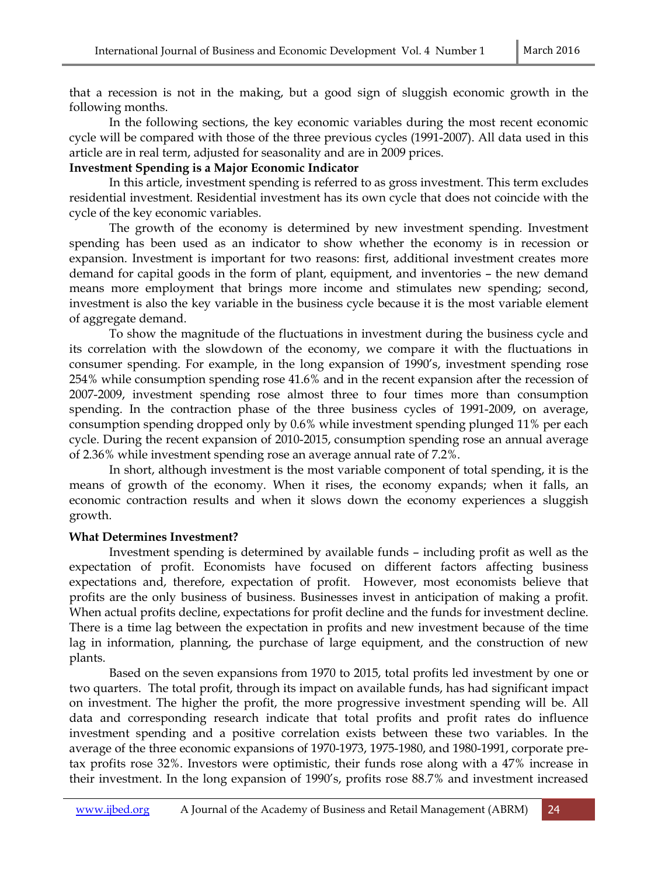that a recession is not in the making, but a good sign of sluggish economic growth in the following months.

 In the following sections, the key economic variables during the most recent economic cycle will be compared with those of the three previous cycles (1991-2007). All data used in this article are in real term, adjusted for seasonality and are in 2009 prices.

## **Investment Spending is a Major Economic Indicator**

In this article, investment spending is referred to as gross investment. This term excludes residential investment. Residential investment has its own cycle that does not coincide with the cycle of the key economic variables.

The growth of the economy is determined by new investment spending. Investment spending has been used as an indicator to show whether the economy is in recession or expansion. Investment is important for two reasons: first, additional investment creates more demand for capital goods in the form of plant, equipment, and inventories – the new demand means more employment that brings more income and stimulates new spending; second, investment is also the key variable in the business cycle because it is the most variable element of aggregate demand.

To show the magnitude of the fluctuations in investment during the business cycle and its correlation with the slowdown of the economy, we compare it with the fluctuations in consumer spending. For example, in the long expansion of 1990's, investment spending rose 254% while consumption spending rose 41.6% and in the recent expansion after the recession of 2007-2009, investment spending rose almost three to four times more than consumption spending. In the contraction phase of the three business cycles of 1991-2009, on average, consumption spending dropped only by 0.6% while investment spending plunged 11% per each cycle. During the recent expansion of 2010-2015, consumption spending rose an annual average of 2.36% while investment spending rose an average annual rate of 7.2%.

In short, although investment is the most variable component of total spending, it is the means of growth of the economy. When it rises, the economy expands; when it falls, an economic contraction results and when it slows down the economy experiences a sluggish growth.

## **What Determines Investment?**

Investment spending is determined by available funds – including profit as well as the expectation of profit. Economists have focused on different factors affecting business expectations and, therefore, expectation of profit. However, most economists believe that profits are the only business of business. Businesses invest in anticipation of making a profit. When actual profits decline, expectations for profit decline and the funds for investment decline. There is a time lag between the expectation in profits and new investment because of the time lag in information, planning, the purchase of large equipment, and the construction of new plants.

Based on the seven expansions from 1970 to 2015, total profits led investment by one or two quarters. The total profit, through its impact on available funds, has had significant impact on investment. The higher the profit, the more progressive investment spending will be. All data and corresponding research indicate that total profits and profit rates do influence investment spending and a positive correlation exists between these two variables. In the average of the three economic expansions of 1970-1973, 1975-1980, and 1980-1991, corporate pretax profits rose 32%. Investors were optimistic, their funds rose along with a 47% increase in their investment. In the long expansion of 1990's, profits rose 88.7% and investment increased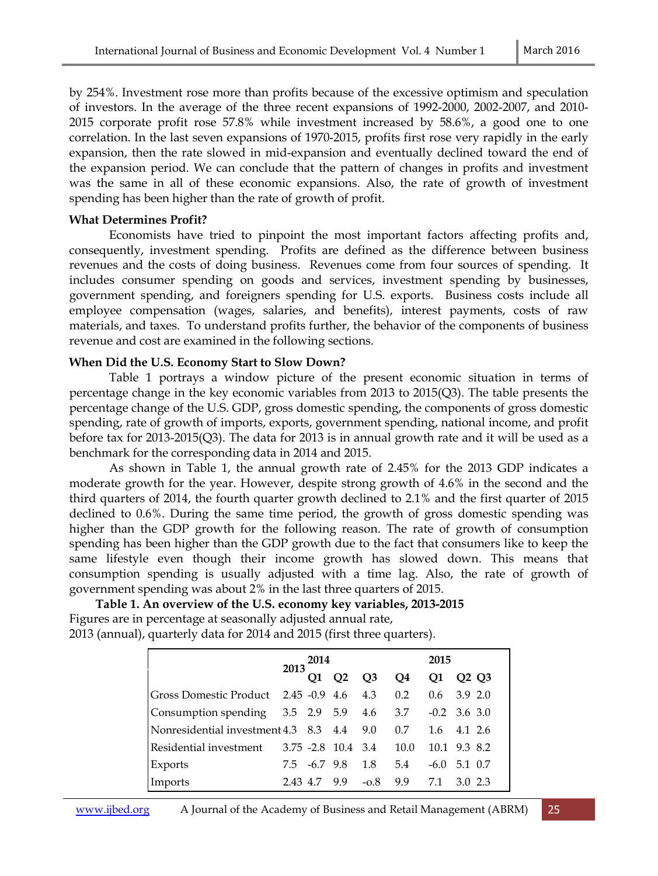by 254%. Investment rose more than profits because of the excessive optimism and speculation of investors. In the average of the three recent expansions of 1992-2000, 2002-2007, and 2010- 2015 corporate profit rose 57.8% while investment increased by 58.6%, a good one to one correlation. In the last seven expansions of 1970-2015, profits first rose very rapidly in the early expansion, then the rate slowed in mid-expansion and eventually declined toward the end of the expansion period. We can conclude that the pattern of changes in profits and investment was the same in all of these economic expansions. Also, the rate of growth of investment spending has been higher than the rate of growth of profit.

## **What Determines Profit?**

Economists have tried to pinpoint the most important factors affecting profits and, consequently, investment spending. Profits are defined as the difference between business revenues and the costs of doing business. Revenues come from four sources of spending. It includes consumer spending on goods and services, investment spending by businesses, government spending, and foreigners spending for U.S. exports. Business costs include all employee compensation (wages, salaries, and benefits), interest payments, costs of raw materials, and taxes. To understand profits further, the behavior of the components of business revenue and cost are examined in the following sections.

## **When Did the U.S. Economy Start to Slow Down?**

Table 1 portrays a window picture of the present economic situation in terms of percentage change in the key economic variables from 2013 to 2015(Q3). The table presents the percentage change of the U.S. GDP, gross domestic spending, the components of gross domestic spending, rate of growth of imports, exports, government spending, national income, and profit before tax for 2013-2015(Q3). The data for 2013 is in annual growth rate and it will be used as a benchmark for the corresponding data in 2014 and 2015.

As shown in Table 1, the annual growth rate of 2.45% for the 2013 GDP indicates a moderate growth for the year. However, despite strong growth of 4.6% in the second and the third quarters of 2014, the fourth quarter growth declined to 2.1% and the first quarter of 2015 declined to 0.6%. During the same time period, the growth of gross domestic spending was higher than the GDP growth for the following reason. The rate of growth of consumption spending has been higher than the GDP growth due to the fact that consumers like to keep the same lifestyle even though their income growth has slowed down. This means that consumption spending is usually adjusted with a time lag. Also, the rate of growth of government spending was about 2% in the last three quarters of 2015.

**Table 1. An overview of the U.S. economy key variables, 2013-2015**  Figures are in percentage at seasonally adjusted annual rate, 2013 (annual), quarterly data for 2014 and 2015 (first three quarters).

|                                                       | 2013 | 2014      |                             |                | 2015 |     |                               |
|-------------------------------------------------------|------|-----------|-----------------------------|----------------|------|-----|-------------------------------|
|                                                       |      | <b>O1</b> | O <sub>2</sub>              | Q <sub>3</sub> | Q4   | Q1  | O <sub>2</sub> O <sub>3</sub> |
| Gross Domestic Product 2.45 -0.9 4.6 4.3              |      |           |                             |                | 0.2  |     | $0.6$ 3.9 2.0                 |
| Consumption spending 3.5 2.9 5.9 4.6 3.7 -0.2 3.6 3.0 |      |           |                             |                |      |     |                               |
| Nonresidential investment 4.3 8.3 4.4 9.0 0.7         |      |           |                             |                |      |     | $1.6$ $4.1$ $2.6$             |
|                                                       |      |           |                             |                | 10.0 |     | 10.1 9.3 8.2                  |
| Exports                                               |      |           | $7.5 \t -6.7 \t 9.8 \t 1.8$ |                | 5.4  |     | $-6.0$ 5.1 0.7                |
| Imports                                               |      |           | $2.43 \t4.7 \t9.9 \t-0.8$   |                | 9.9  | 7.1 | 3.0 2.3                       |

www.ijbed.org A Journal of the Academy of Business and Retail Management (ABRM) 25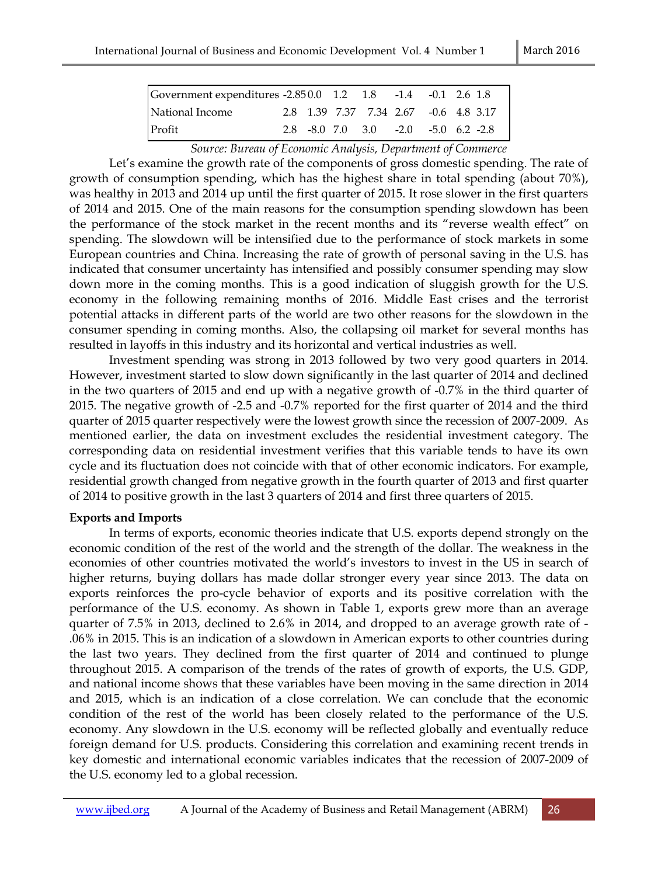| Government expenditures -2.850.0 1.2 1.8 -1.4 -0.1 2.6 1.8 |  |  |  |                                                     |
|------------------------------------------------------------|--|--|--|-----------------------------------------------------|
| National Income                                            |  |  |  | 2.8 1.39 7.37 7.34 2.67 -0.6 4.8 3.17               |
| Profit                                                     |  |  |  | $2.8$ $-8.0$ $7.0$ $3.0$ $-2.0$ $-5.0$ $6.2$ $-2.8$ |

*Source: Bureau of Economic Analysis, Department of Commerce* 

Let's examine the growth rate of the components of gross domestic spending. The rate of growth of consumption spending, which has the highest share in total spending (about 70%), was healthy in 2013 and 2014 up until the first quarter of 2015. It rose slower in the first quarters of 2014 and 2015. One of the main reasons for the consumption spending slowdown has been the performance of the stock market in the recent months and its "reverse wealth effect" on spending. The slowdown will be intensified due to the performance of stock markets in some European countries and China. Increasing the rate of growth of personal saving in the U.S. has indicated that consumer uncertainty has intensified and possibly consumer spending may slow down more in the coming months. This is a good indication of sluggish growth for the U.S. economy in the following remaining months of 2016. Middle East crises and the terrorist potential attacks in different parts of the world are two other reasons for the slowdown in the consumer spending in coming months. Also, the collapsing oil market for several months has resulted in layoffs in this industry and its horizontal and vertical industries as well.

Investment spending was strong in 2013 followed by two very good quarters in 2014. However, investment started to slow down significantly in the last quarter of 2014 and declined in the two quarters of 2015 and end up with a negative growth of -0.7% in the third quarter of 2015. The negative growth of -2.5 and -0.7% reported for the first quarter of 2014 and the third quarter of 2015 quarter respectively were the lowest growth since the recession of 2007-2009. As mentioned earlier, the data on investment excludes the residential investment category. The corresponding data on residential investment verifies that this variable tends to have its own cycle and its fluctuation does not coincide with that of other economic indicators. For example, residential growth changed from negative growth in the fourth quarter of 2013 and first quarter of 2014 to positive growth in the last 3 quarters of 2014 and first three quarters of 2015.

## **Exports and Imports**

In terms of exports, economic theories indicate that U.S. exports depend strongly on the economic condition of the rest of the world and the strength of the dollar. The weakness in the economies of other countries motivated the world's investors to invest in the US in search of higher returns, buying dollars has made dollar stronger every year since 2013. The data on exports reinforces the pro-cycle behavior of exports and its positive correlation with the performance of the U.S. economy. As shown in Table 1, exports grew more than an average quarter of 7.5% in 2013, declined to 2.6% in 2014, and dropped to an average growth rate of - .06% in 2015. This is an indication of a slowdown in American exports to other countries during the last two years. They declined from the first quarter of 2014 and continued to plunge throughout 2015. A comparison of the trends of the rates of growth of exports, the U.S. GDP, and national income shows that these variables have been moving in the same direction in 2014 and 2015, which is an indication of a close correlation. We can conclude that the economic condition of the rest of the world has been closely related to the performance of the U.S. economy. Any slowdown in the U.S. economy will be reflected globally and eventually reduce foreign demand for U.S. products. Considering this correlation and examining recent trends in key domestic and international economic variables indicates that the recession of 2007-2009 of the U.S. economy led to a global recession.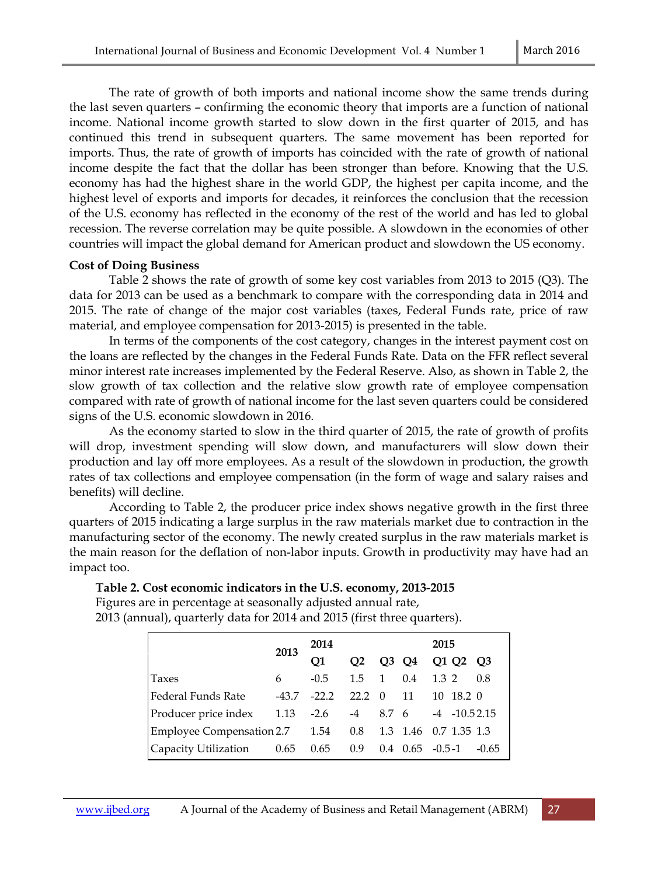The rate of growth of both imports and national income show the same trends during the last seven quarters – confirming the economic theory that imports are a function of national income. National income growth started to slow down in the first quarter of 2015, and has continued this trend in subsequent quarters. The same movement has been reported for imports. Thus, the rate of growth of imports has coincided with the rate of growth of national income despite the fact that the dollar has been stronger than before. Knowing that the U.S. economy has had the highest share in the world GDP, the highest per capita income, and the highest level of exports and imports for decades, it reinforces the conclusion that the recession of the U.S. economy has reflected in the economy of the rest of the world and has led to global recession. The reverse correlation may be quite possible. A slowdown in the economies of other countries will impact the global demand for American product and slowdown the US economy.

#### **Cost of Doing Business**

Table 2 shows the rate of growth of some key cost variables from 2013 to 2015 (Q3). The data for 2013 can be used as a benchmark to compare with the corresponding data in 2014 and 2015. The rate of change of the major cost variables (taxes, Federal Funds rate, price of raw material, and employee compensation for 2013-2015) is presented in the table.

In terms of the components of the cost category, changes in the interest payment cost on the loans are reflected by the changes in the Federal Funds Rate. Data on the FFR reflect several minor interest rate increases implemented by the Federal Reserve. Also, as shown in Table 2, the slow growth of tax collection and the relative slow growth rate of employee compensation compared with rate of growth of national income for the last seven quarters could be considered signs of the U.S. economic slowdown in 2016.

As the economy started to slow in the third quarter of 2015, the rate of growth of profits will drop, investment spending will slow down, and manufacturers will slow down their production and lay off more employees. As a result of the slowdown in production, the growth rates of tax collections and employee compensation (in the form of wage and salary raises and benefits) will decline.

According to Table 2, the producer price index shows negative growth in the first three quarters of 2015 indicating a large surplus in the raw materials market due to contraction in the manufacturing sector of the economy. The newly created surplus in the raw materials market is the main reason for the deflation of non-labor inputs. Growth in productivity may have had an impact too.

#### **Table 2. Cost economic indicators in the U.S. economy, 2013-2015**

Figures are in percentage at seasonally adjusted annual rate, 2013 (annual), quarterly data for 2014 and 2015 (first three quarters).

|                                | 2013  | 2014    |                |              |     | 2015                  |         |
|--------------------------------|-------|---------|----------------|--------------|-----|-----------------------|---------|
|                                |       | O1      | O <sub>2</sub> | O3           | Q4  | Q1 Q2 Q3              |         |
| Taxes                          | 6     | $-0.5$  | $1.5 \quad 1$  |              | 0.4 | 1.3 2                 | 0.8     |
| Federal Funds Rate             | -43.7 | $-22.2$ | 22.2           | $0 \quad 11$ |     | 10 18.2 0             |         |
| Producer price index 1.13 -2.6 |       |         | $-4$ 8.7 6     |              |     | $-4$ $-10.52.15$      |         |
| Employee Compensation 2.7 1.54 |       |         | $0.8\,$        |              |     | 1.3 1.46 0.7 1.35 1.3 |         |
| Capacity Utilization 0.65 0.65 |       |         | 0.9            |              |     | $0.4$ $0.65$ $-0.5-1$ | $-0.65$ |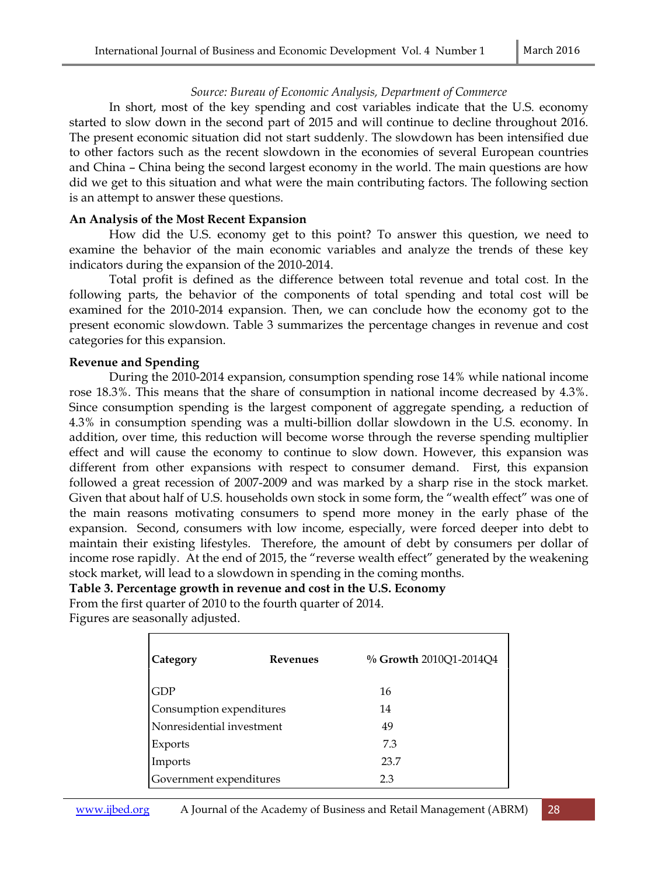## *Source: Bureau of Economic Analysis, Department of Commerce*

In short, most of the key spending and cost variables indicate that the U.S. economy started to slow down in the second part of 2015 and will continue to decline throughout 2016. The present economic situation did not start suddenly. The slowdown has been intensified due to other factors such as the recent slowdown in the economies of several European countries and China – China being the second largest economy in the world. The main questions are how did we get to this situation and what were the main contributing factors. The following section is an attempt to answer these questions.

## **An Analysis of the Most Recent Expansion**

How did the U.S. economy get to this point? To answer this question, we need to examine the behavior of the main economic variables and analyze the trends of these key indicators during the expansion of the 2010-2014.

Total profit is defined as the difference between total revenue and total cost. In the following parts, the behavior of the components of total spending and total cost will be examined for the 2010-2014 expansion. Then, we can conclude how the economy got to the present economic slowdown. Table 3 summarizes the percentage changes in revenue and cost categories for this expansion.

## **Revenue and Spending**

During the 2010-2014 expansion, consumption spending rose 14% while national income rose 18.3%. This means that the share of consumption in national income decreased by 4.3%. Since consumption spending is the largest component of aggregate spending, a reduction of 4.3% in consumption spending was a multi-billion dollar slowdown in the U.S. economy. In addition, over time, this reduction will become worse through the reverse spending multiplier effect and will cause the economy to continue to slow down. However, this expansion was different from other expansions with respect to consumer demand. First, this expansion followed a great recession of 2007-2009 and was marked by a sharp rise in the stock market. Given that about half of U.S. households own stock in some form, the "wealth effect" was one of the main reasons motivating consumers to spend more money in the early phase of the expansion. Second, consumers with low income, especially, were forced deeper into debt to maintain their existing lifestyles. Therefore, the amount of debt by consumers per dollar of income rose rapidly. At the end of 2015, the "reverse wealth effect" generated by the weakening stock market, will lead to a slowdown in spending in the coming months.

## **Table 3. Percentage growth in revenue and cost in the U.S. Economy**

From the first quarter of 2010 to the fourth quarter of 2014. Figures are seasonally adjusted.

| Category                  | <b>Revenues</b> | % Growth 2010Q1-2014Q4 |
|---------------------------|-----------------|------------------------|
| <b>GDP</b>                |                 | 16                     |
| Consumption expenditures  |                 | 14                     |
| Nonresidential investment |                 | 49                     |
| Exports                   |                 | 7.3                    |
| Imports                   |                 | 23.7                   |
| Government expenditures   |                 | 2.3                    |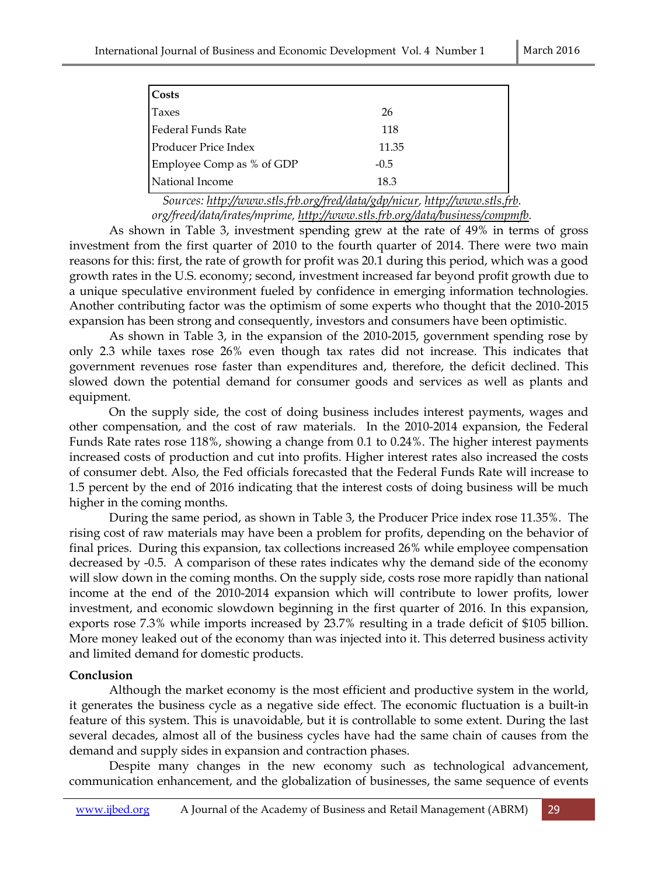| <b>Costs</b>                |        |
|-----------------------------|--------|
| Taxes                       | 26     |
| Federal Funds Rate          | 118    |
| <b>Producer Price Index</b> | 11.35  |
| Employee Comp as % of GDP   | $-0.5$ |
| National Income             | 18.3   |

*Sources: http://www.stls.frb.org/fred/data/gdp/nicur, http://www.stls.frb. org/freed/data/irates/mprime, http://www.stls.frb.org/data/business/compmfb.*

As shown in Table 3, investment spending grew at the rate of 49% in terms of gross investment from the first quarter of 2010 to the fourth quarter of 2014. There were two main reasons for this: first, the rate of growth for profit was 20.1 during this period, which was a good growth rates in the U.S. economy; second, investment increased far beyond profit growth due to a unique speculative environment fueled by confidence in emerging information technologies. Another contributing factor was the optimism of some experts who thought that the 2010-2015 expansion has been strong and consequently, investors and consumers have been optimistic.

As shown in Table 3, in the expansion of the 2010-2015, government spending rose by only 2.3 while taxes rose 26% even though tax rates did not increase. This indicates that government revenues rose faster than expenditures and, therefore, the deficit declined. This slowed down the potential demand for consumer goods and services as well as plants and equipment.

On the supply side, the cost of doing business includes interest payments, wages and other compensation, and the cost of raw materials. In the 2010-2014 expansion, the Federal Funds Rate rates rose 118%, showing a change from 0.1 to 0.24%. The higher interest payments increased costs of production and cut into profits. Higher interest rates also increased the costs of consumer debt. Also, the Fed officials forecasted that the Federal Funds Rate will increase to 1.5 percent by the end of 2016 indicating that the interest costs of doing business will be much higher in the coming months.

During the same period, as shown in Table 3, the Producer Price index rose 11.35%. The rising cost of raw materials may have been a problem for profits, depending on the behavior of final prices. During this expansion, tax collections increased 26% while employee compensation decreased by -0.5. A comparison of these rates indicates why the demand side of the economy will slow down in the coming months. On the supply side, costs rose more rapidly than national income at the end of the 2010-2014 expansion which will contribute to lower profits, lower investment, and economic slowdown beginning in the first quarter of 2016. In this expansion, exports rose 7.3% while imports increased by 23.7% resulting in a trade deficit of \$105 billion. More money leaked out of the economy than was injected into it. This deterred business activity and limited demand for domestic products.

## **Conclusion**

Although the market economy is the most efficient and productive system in the world, it generates the business cycle as a negative side effect. The economic fluctuation is a built-in feature of this system. This is unavoidable, but it is controllable to some extent. During the last several decades, almost all of the business cycles have had the same chain of causes from the demand and supply sides in expansion and contraction phases.

Despite many changes in the new economy such as technological advancement, communication enhancement, and the globalization of businesses, the same sequence of events